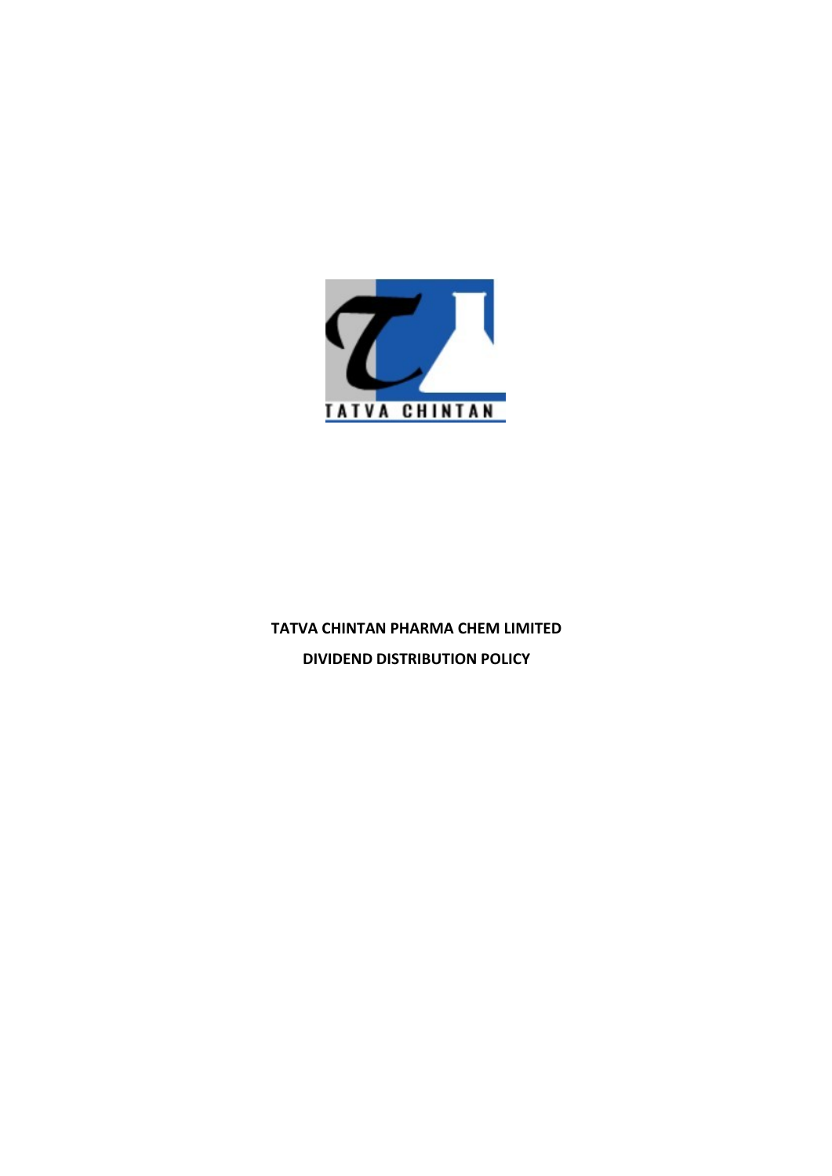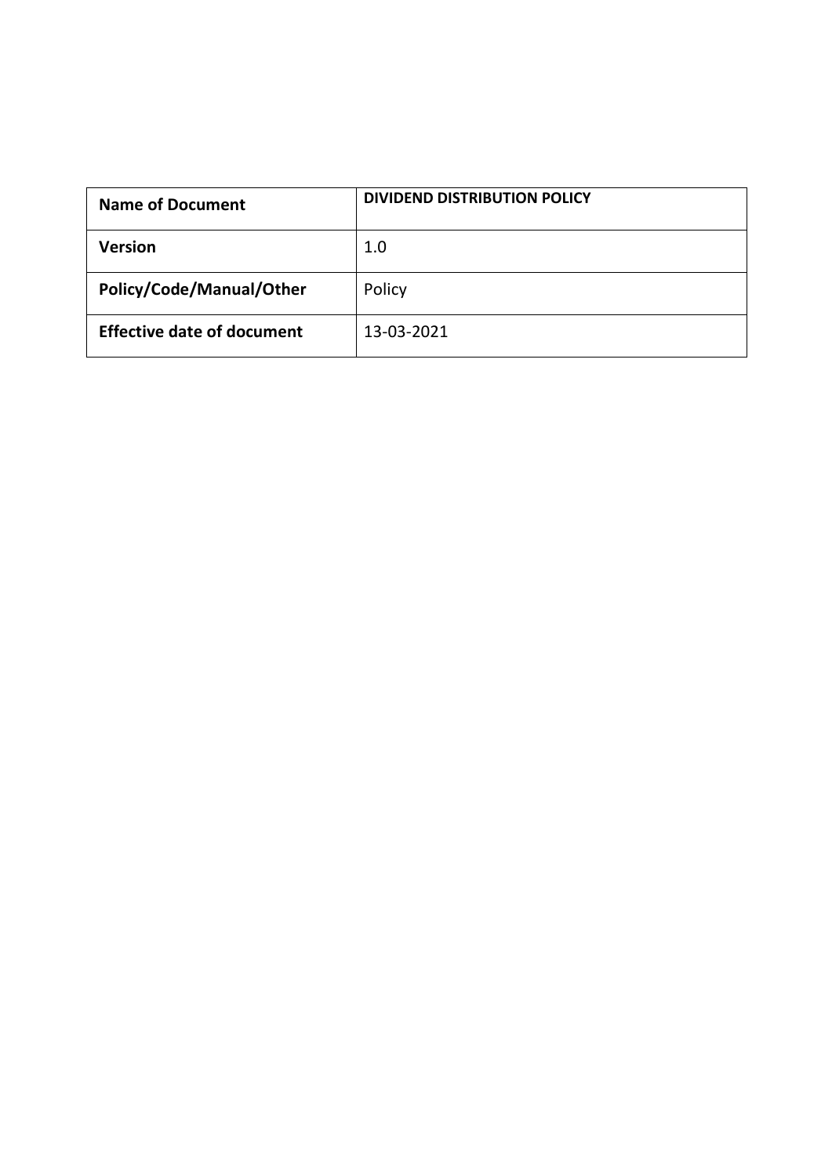|                                                                | DIVIDEND DISTRIBUTION POLICY |  |
|----------------------------------------------------------------|------------------------------|--|
|                                                                | $1.0\,$                      |  |
| <b>Name of Document</b><br>Version<br>Policy/Code/Manual/Other | Policy                       |  |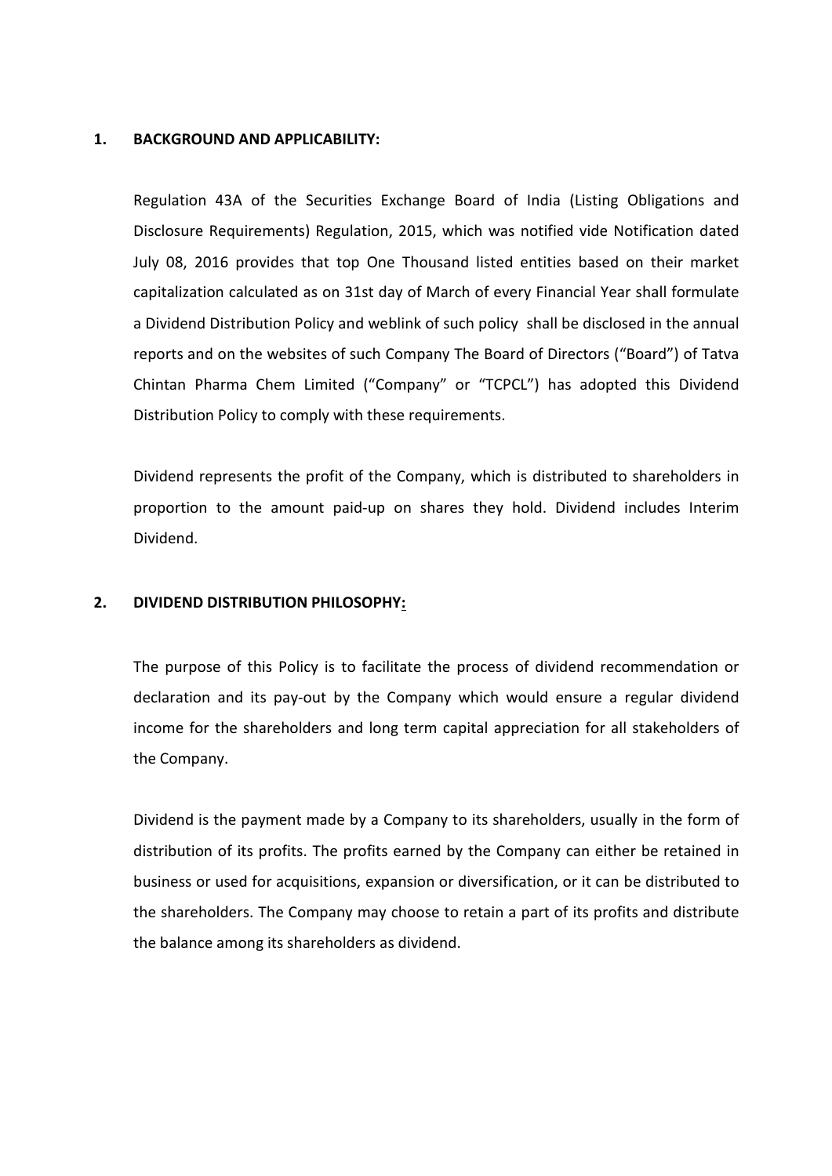1. BACKGROUND AND APPLICABILITY:<br>Regulation 43A of the Securities Exchange Board of India (Listing Obligations an<br>Disclosure Requirements) Regulation, 2015, which was notified vide Notification date BACKGROUND AND APPLICABILITY:<br>Regulation 43A of the Securities Exchange Board of India (Listing Obligations and<br>Disclosure Requirements) Regulation, 2015, which was notified vide Notification dated<br>July 08, 2016 provides t BACKGROUND AND APPLICABILITY:<br>Regulation 43A of the Securities Exchange Board of India (Listing Obligations and<br>Disclosure Requirements) Regulation, 2015, which was notified vide Notification dated<br>July 08, 2016 provides t BACKGROUND AND APPLICABILITY:<br>Regulation 43A of the Securities Exchange Board of India (Listing Obligations and<br>Disclosure Requirements) Regulation, 2015, which was notified vide Notification dated<br>July 08, 2016 provides t BACKGROUND AND APPLICABILITY:<br>Regulation 43A of the Securities Exchange Board of India (Listing Obligations and<br>Disclosure Requirements) Regulation, 2015, which was notified vide Notification dated<br>July 08, 2016 provides t BACKGROUND AND APPLICABILITY:<br>Regulation 43A of the Securities Exchange Board of India (Listing Obligations and<br>Disclosure Requirements) Regulation, 2015, which was notified vide Notification dated<br>July 08, 2016 provides t **BACKGROUND AND APPLICABILITY:**<br>Regulation 43A of the Securities Exchange Board of India (Listing Obligations and<br>Disclosure Requirements) Regulation, 2015, which was notified vide Notification dated<br>July 08, 2016 provides BACKGROUND AND APPLICABILITY:<br>Regulation 43A of the Securities Exchange Board of India (Listing Obligations and<br>Disclosure Requirements) Regulation, 2015, which was notified vide Notification dated<br>July 08, 2016 provides t BACKGROUND AND APPLICABILITY:<br>Regulation 43A of the Securities Exchange Board of India (Listing Obligations and<br>Disclosure Requirements) Regulation, 2015, which was notified vide Notification dated<br>July 08, 2016 provides t BACKGROUND AND APPLICABILITY:<br>Regulation 43A of the Securities Exchange Board of India (Listing Obligations and<br>Disclosure Requirements) Regulation, 2015, which was notified vide Notification dated<br>July 08, 2016 provides t Regulation 43A of the Securities Exchange Board of India (Listing Obligations and Disclosure Requirements) Regulation, 2015, which was notified vide Notification dated July 08, 2016 provides that top One Thousand listed en July 08, 2016 provides that top One Thousand listed entities based on their market<br>capitalization calculated as on 31st day of March of every Financial Year shall formulate<br>a Dividend Distribution Policy and weblink of suc

Dividend.

a Dividend Distribution Policy and weblink of such policy shall be disclosed in the annual<br>reports and on the websites of such Company The Board of Directors ("Board") of Tatva<br>Chintan Pharma Chem Limited ("Company" or "TC reports and on the websites of such Company The Board of Directors ("Board") of Tatva<br>Chintan Pharma Chem Limited ("Company" or "TCPCL") has adopted this Dividend<br>Distribution Policy to comply with these requirements.<br>Divi Chintan Pharma Chem Limited ("Company" or "TCPCL") has adopted this Dividend<br>Distribution Policy to comply with these requirements.<br>Dividend represents the profit of the Company, which is distributed to shareholders in<br>pro Distribution Policy to comply with these requirements.<br>Dividend represents the profit of the Company, which is distributed t<br>proportion to the amount paid-up on shares they hold. Dividend<br>Dividend.<br>DIVIDEND DISTRIBUTION PH

Dividend represents the profit of the Company, which is distributed to shareholders in<br>proportion to the amount paid-up on shares they hold. Dividend includes Interim<br>Dividend.<br>Dividend.<br>The purpose of this Policy is to fa proportion to the amount paid-up on shares they hold. Dividend includes Interim<br>Dividend.<br>DIVIDEND DISTRIBUTION PHILOSOPHY:<br>The purpose of this Policy is to facilitate the process of dividend recommendation or<br>declaration Dividend.<br>The purpose of this Policy is to facilitate the process of dividend recommendation or<br>declaration and its pay-out by the Company which would ensure a regular dividend<br>income for the shareholders and long term cap DIVIDEND DISTRIBUTION PHILOSOPHY<sub>2</sub><br>The purpose of this Policy is to facilitate the process of dividend recommendation or<br>declaration and its pay-out by the Company which would ensure a regular dividend<br>income for the shar DIVIDEND DISTRIBUTION PHILOSOPHY<sub>2</sub><br>The purpose of this Policy is to facilitate the process of dividend recommendation or<br>declaration and its pay-out by the Company which would ensure a regular dividend<br>income for the shar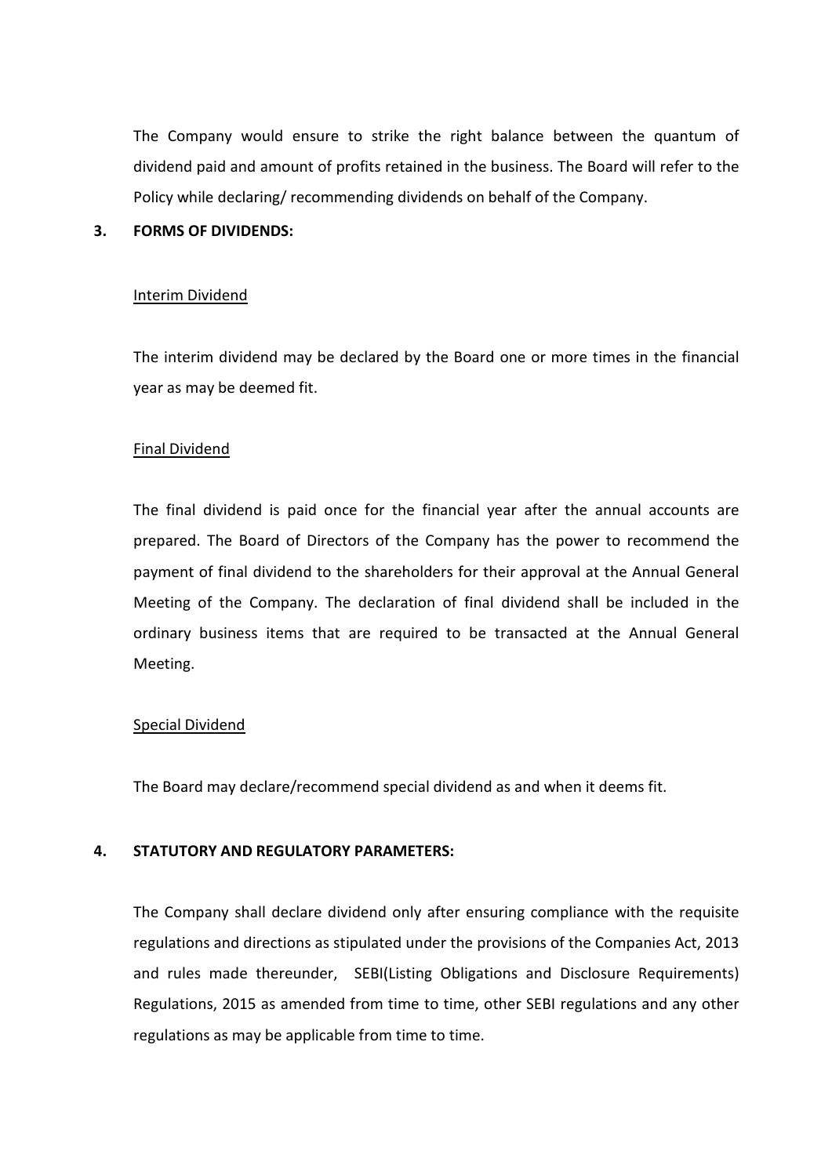The Company would ensure to strike the right balance between the quantum of<br>dividend paid and amount of profits retained in the business. The Board will refer to the<br>Policy while declaring/ recommending dividends on behalf The Company would ensure to strike the right balance between the quantum of dividend paid and amount of profits retained in the business. The Board will refer to the Policy while declaring/ recommending dividends on behalf The Company would ensure to strike the right balance between the quantum of dividend paid and amount of profits retained in the business. The Board will refer to the Policy while declaring/ recommending dividends on behalf The Company would ensure to strike the right balance between the question and a mount of profits retained in the business. The Board will repolicy while declaring/ recommending dividends on behalf of the Company.<br>3. FORMS The Company would ensure to strike the right balance between the<br>dividend paid and amount of profits retained in the business. The Board w<br>Policy while declaring/ recommending dividends on behalf of the Company<br>FORMS OF DI The Company would ensure to strike the right balance between the quantum of<br>dividend paid and amount of profits retained in the business. The Board will refer to the<br>Policy while declaring/ recommending dividends on behalf The Company would ensure to strike the right balance between the quantum of dividend paid and amount of profits retained in the business. The Board will refer to the Policy while declaring/ recommending dividends on behalf The Company would ensure to strike the right balance between t<br>dividend paid and amount of profits retained in the business. The Board<br>Policy while declaring/ recommending dividends on behalf of the Compa<br>FORMS OF DIVIDEND

dividend paid and amount of profits retained in the business. The Board will refer to the<br>Policy while declaring/recommending dividends on behalf of the Company.<br>**FORMS OF DIVIDENDS:**<br>The interim dividend<br>The interim divid Policy while declaring/recommending dividends on behalf of the Company.<br> **FORMS OF DIVIDENDS:**<br> **Interim Dividend**<br> **The interim dividend may be declared by the Board one or more times in the financial<br>
year as may be deem FORMS OF DIVIDENDS:**<br>The interim dividend may be declared by the Board one or more times in the financial<br>year as may be deemed fit.<br>The final dividend<br>The final dividend<br>The final dividend<br>The final dividend is paid once Interim Dividend<br>The interim dividend may be declared by the Board one or more times in the financial<br>year as may be deemed fit.<br>The final dividend<br>The final dividend is paid once for the financial year after the annual ac Interim Dividend<br>The interim dividend may be declared by the Board one or more times in the financial<br>year as may be deemed fit.<br>Tinal Dividend<br>The final dividend<br>The final dividend is paid once for the financial year afte Meeting. beta as may be deemed fit.<br>
Final Dividend<br>
The final dividend is paid once for the financial year after the annual<br>
prepared. The Board of Directors of the Company has the power to re<br>
payment of final dividend to the sha Final Dividend<br>The final dividend is paid once for the financial year after the annual accounts are<br>prepared. The Board of Directors of the Company has the power to recommend the<br>payment of final dividend to the shareholde The final dividend is paid once for the financial year after the annual accounts are<br>prepared. The Board of Directors of the Company has the power to recommend the<br>payment of final dividend to the shareholders for their ap

payment of final dividend to the shareholders for their approval at the Annual General<br>Meeting of the Company. The declaration of final dividend shall be included in the<br>ordinary business items that are required to be tran Meeting of the Company. The declaration of final dividend shall be included in the<br>ordinary business items that are required to be transacted at the Annual General<br>Meeting.<br>Special Dividend<br>The Board may declare/recommend ordinary business items that are required to be transacted at the Annual General<br>Meeting.<br>Special Dividend<br>The Board may declare/recommend special dividend as and when it deems fit.<br>STATUTORY AND REGULATORY PARAMETERS:<br>The Meeting.<br>The Board may declare/recommend special dividend as and when it deems fit.<br>STATUTORY AND REGULATORY PARAMETERS:<br>The Company shall declare dividend only after ensuring compliance with the requisite<br>regulations and Special Dividend<br>The Board may declare/recommend special dividend as and when it deems fit.<br>STATUTORY AND REGULATORY PARAMETERS:<br>The Company shall declare dividend only after ensuring compliance with the requisite<br>regulati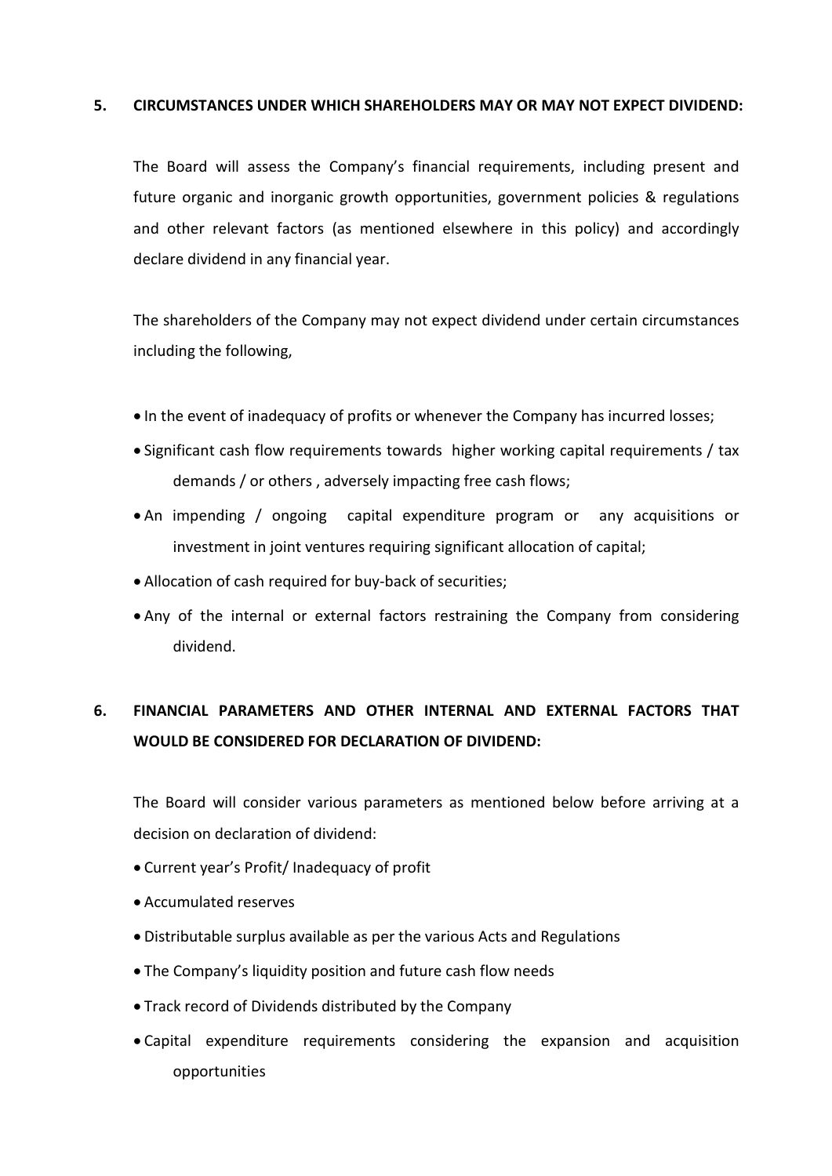S. CIRCUMSTANCES UNDER WHICH SHAREHOLDERS MAY OR MAY NOT EXPECT DIVIDEND:<br>The Board will assess the Company's financial requirements, including present and<br>future organic and inorganic growth opportunities, government poli CIRCUMSTANCES UNDER WHICH SHAREHOLDERS MAY OR MAY NOT EXPECT DIVIDEND:<br>The Board will assess the Company's financial requirements, including present and<br>future organic and inorganic growth opportunities, government policie CIRCUMSTANCES UNDER WHICH SHAREHOLDERS MAY OR MAY NOT EXPECT DIVIDEND:<br>The Board will assess the Company's financial requirements, including present and<br>future organic and inorganic growth opportunities, government policie **CIRCUMSTANCES UNDER WHICH SHAREHOLDERS MAY OR MAY NOT EXPECT DIVIDEND:**<br>The Board will assess the Company's financial requirements, including present and<br>future organic and inorganic growth opportunities, government polic CIRCUMSTANCES UNDER WHICH SHAREHOLDERS MAY OR MAY NOT EXPECT DIVIDEND:<br>The Board will assess the Company's financial requirements, including present and<br>future organic and inorganic growth opportunities, government policie CIRCUMSTANCES UNDER WHICH SHAREHOLDERS MAY OR MAY NOT EXPECT DIVIDEND:<br>The Board will assess the Company's financial requirements, including present and<br>future organic and inorganic growth opportunities, government policie CIRCUMSTANCES UNDER WHICH SHAREHOLDERS MAY OR MAY NOT EXPECT DIVIDEND:<br>
The Board will assess the Company's financial requirements, including present and<br>
fluture organic and inorganic growth opportunities, government poli The Board will assess the Company's financial requirements, including present and<br>
fluture organic and inorganic growth opportunities, government policies & regulations<br>
and other relevant factors (as mentioned elsewhere i inuture organic and inorganic growth opportunities, government policies & regulations<br>and other relevant factors (as mentioned elsewhere in this policy) and accordingly<br>declare dividend in any financial year.<br>The sharehold

- 
- 
- 
- 
- dividend. • In the event of inadequacy of profits or whenever the Company has incurred losses;<br>• Significant cash flow requirements towards higher working capital requirements / tax<br>• demands / or others , adversely impacting free c **Samineant cash now requirements towards inglier working capital requirements / tax<br>
demands / or others , adversely impacting free cash flows;<br>
An impending / ongoing capital expenditure program or any acquisitions or<br>
in** elementary of others, adversely impacting riee cash in the state of investigations of investment in joint the actual expenditure program or any acquisitions or investment in joint ventures requiring significant allocation

# Finance of inadequacy of profits or whenever the Company has incurred losses;<br>
• Significant cash flow requirements towards higher working capital requirements / tax<br>
demands / or others, adversely impacting free cash flow

- 
- 
- 
- 
- 
- opportunities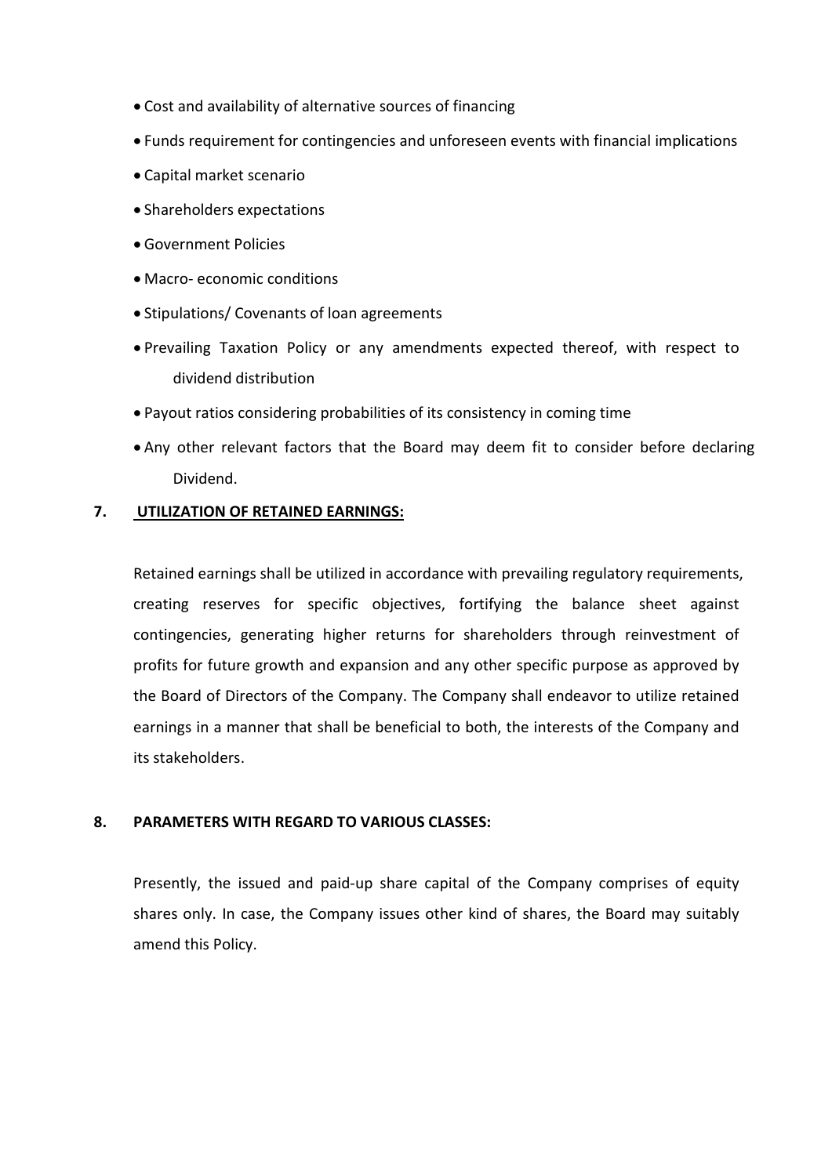- 
- Cost and availability of alternative sources of financing<br>• Funds requirement for contingencies and unforeseen events with financial implications<br>• Capital market scenario<br>• Shareholders expectations Funds requirement for contingencies and unforeseen events with financial implications<br>
Funds requirement for contingencies and unforeseen events with financial implications<br>
Conserved Shareholders expectations<br>
Conserved S
- 
- 
- 
- 
- 
- Cost and availability of alternative sources of financing<br>• Funds requirement for contingencies and unforeseen events with financial implications<br>• Shareholders expectations<br>• Macro- economic conditions<br>• Stipulations/ and availability of alternative sources of financing<br>ds requirement for contingencies and unforeseen events with financial implic<br>tal market scenario<br>eholders expectations<br>remment Policies<br>ro- economic conditions<br>dualtions Cost and availability of alternative sources of financing<br>
Funds requirement for contingencies and unforeseen events with financial implications<br>
Capital market scenario<br>
Shareholders expectations<br>
Sovernment Policies<br>
Mac • Cost and availability of alternative sources of financing<br>• Funds requirement for contingencies and unforeseen events with financial implications<br>• Gapital market scenario<br>• Shareholders expectations<br>• Nacro-economic con
- 
- Dividend.

• Capital market scenario<br>
• Shareholders expectations<br>
• Government Policies<br>
• Macro• economic conditions<br>
• Stipulations/ Covenants of loan agreements<br>
• Prevailing Taxation Policy or any amendments expected thereof, wi • Government Policies<br>• Macro-economic conditions<br>• Stipulations/ Covenants of loan agreements<br>• Prevailing Taxation Policy or any amendments expected thereof, with respect to<br>• dividend distribution<br>• Payout ratios consi **•** Macro- economic conditions<br>• Frievalling Taxation Policy or any amendments expected thereof, with respect to<br>• Prevailing Taxation Policy or any amendments expected thereof, with respect to<br>• Payout ratios considering **Example 12**<br> **Example 12**<br> **Example 12**<br> **Example 12**<br> **Example 12**<br> **Example 12**<br> **Example 12**<br> **Example 12**<br> **Example 12**<br> **Example 12**<br> **Example 12**<br> **CONTERT CONTERT CONTERT CONTERT CONTERT CONTERT CONTERT CONTERT CON •** Prevailing Taxation Policy or any amendments expected thereof, with respect to dividend distribution **•** Payout ratios considering probabilities of its consistency in coming time **•** Any other relevant factors that the • Prevailing Taxation Policy or any amendments expected thereof, with respect to<br>
• Payout ratios considering probabilities of its consistency in coming time<br>
• Any other relevant factors that the Board may deem fit to con e Payout ratios considering probabilities of its consistency in coming time<br>
• Any other relevant factors that the Board may deem fit to consider before declaring<br>
Dividend.<br> **UTILIZATION OF RETAINED EARNINGS:**<br>
Retained e • Payout ratios considering probabilities of its consistency in coming ti<br>• Any other relevant factors that the Board may deem fit to consi<br>Dividend.<br>**UTILIZATION OF RETAINED EARNINGS:**<br>Retained earnings shall be utilized Dividend.<br> **UTILIZATION OF RETAINED EARNINGS:**<br>
Retained earnings shall be utilized in accordance with prevailing regulatory requirements,<br>
creating reserves for specific objectives, fortifying the balance sheet against<br>
c Retained earnings shall be utilized in accordance with prevailing regulatory requirements,<br>creating reserves for specific objectives, fortifying the balance sheet against<br>contingencies, generating higher returns for shareh Retained earnings shall be utilized in accordance with prevailing regulatory requirements,<br>creating reserves for specific objectives, fortifying the balance sheet against<br>contingencies, generating higher returns for shareh creating reserves for specific objectives, fortifying the balance shee<br>contingencies, generating higher returns for shareholders through reinve-<br>profits for future growth and expansion and any other specific purpose as ap<br>